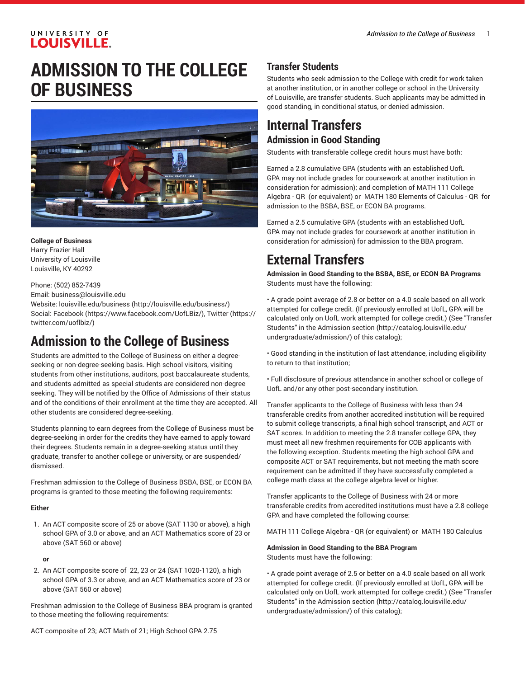### UNIVERSITY OF **LOUISVILLE.**

# **ADMISSION TO THE COLLEGE OF BUSINESS**



**College of Business** Harry Frazier Hall University of Louisville Louisville, KY 40292

Phone: (502) 852-7439

Email: [business@louisville.edu](mailto:business@louisville.edu)

Website: [louisville.edu/business \(http://louisville.edu/business/\)](http://louisville.edu/business/) Social: [Facebook](https://www.facebook.com/UofLBiz/) (<https://www.facebook.com/UofLBiz/>), [Twitter \(https://](https://twitter.com/uoflbiz/) [twitter.com/uoflbiz/\)](https://twitter.com/uoflbiz/)

# **Admission to the College of Business**

Students are admitted to the College of Business on either a degreeseeking or non-degree-seeking basis. High school visitors, visiting students from other institutions, auditors, post baccalaureate students, and students admitted as special students are considered non-degree seeking. They will be notified by the Office of Admissions of their status and of the conditions of their enrollment at the time they are accepted. All other students are considered degree-seeking.

Students planning to earn degrees from the College of Business must be degree-seeking in order for the credits they have earned to apply toward their degrees. Students remain in a degree-seeking status until they graduate, transfer to another college or university, or are suspended/ dismissed.

Freshman admission to the College of Business BSBA, BSE, or ECON BA programs is granted to those meeting the following requirements:

### **Either**

1. An ACT composite score of 25 or above (SAT 1130 or above), a high school GPA of 3.0 or above, and an ACT Mathematics score of 23 or above (SAT 560 or above)

### **or**

2. An ACT composite score of 22, 23 or 24 (SAT 1020-1120), a high school GPA of 3.3 or above, and an ACT Mathematics score of 23 or above (SAT 560 or above)

Freshman admission to the College of Business BBA program is granted to those meeting the following requirements:

ACT composite of 23; ACT Math of 21; High School GPA 2.75

## **Transfer Students**

Students who seek admission to the College with credit for work taken at another institution, or in another college or school in the University of Louisville, are transfer students. Such applicants may be admitted in good standing, in conditional status, or denied admission.

# **Internal Transfers Admission in Good Standing**

Students with transferable college credit hours must have both:

Earned a 2.8 cumulative GPA (students with an established UofL GPA may not include grades for coursework at another institution in consideration for admission); and completion of MATH 111 College Algebra - QR (or equivalent) or MATH 180 Elements of Calculus - QR for admission to the BSBA, BSE, or ECON BA programs.

Earned a 2.5 cumulative GPA (students with an established UofL GPA may not include grades for coursework at another institution in consideration for admission) for admission to the BBA program.

# **External Transfers**

**Admission in Good Standing to the BSBA, BSE, or ECON BA Programs** Students must have the following:

• A grade point average of 2.8 or better on a 4.0 scale based on all work attempted for college credit. (If previously enrolled at UofL, GPA will be calculated only on UofL work attempted for college credit.) (See "Transfer Students" in the [Admission section](http://catalog.louisville.edu/undergraduate/admission/) ([http://catalog.louisville.edu/](http://catalog.louisville.edu/undergraduate/admission/) [undergraduate/admission/](http://catalog.louisville.edu/undergraduate/admission/)) of this catalog);

• Good standing in the institution of last attendance, including eligibility to return to that institution;

• Full disclosure of previous attendance in another school or college of UofL and/or any other post-secondary institution.

Transfer applicants to the College of Business with less than 24 transferable credits from another accredited institution will be required to submit college transcripts, a final high school transcript, and ACT or SAT scores. In addition to meeting the 2.8 transfer college GPA, they must meet all new freshmen requirements for COB applicants with the following exception. Students meeting the high school GPA and composite ACT or SAT requirements, but not meeting the math score requirement can be admitted if they have successfully completed a college math class at the college algebra level or higher.

Transfer applicants to the College of Business with 24 or more transferable credits from accredited institutions must have a 2.8 college GPA and have completed the following course:

MATH 111 College Algebra - QR (or equivalent) or MATH 180 Calculus

#### **Admission in Good Standing to the BBA Program** Students must have the following:

• A grade point average of 2.5 or better on a 4.0 scale based on all work attempted for college credit. (If previously enrolled at UofL, GPA will be calculated only on UofL work attempted for college credit.) (See "Transfer Students" in the [Admission section](http://catalog.louisville.edu/undergraduate/admission/) ([http://catalog.louisville.edu/](http://catalog.louisville.edu/undergraduate/admission/) [undergraduate/admission/](http://catalog.louisville.edu/undergraduate/admission/)) of this catalog);